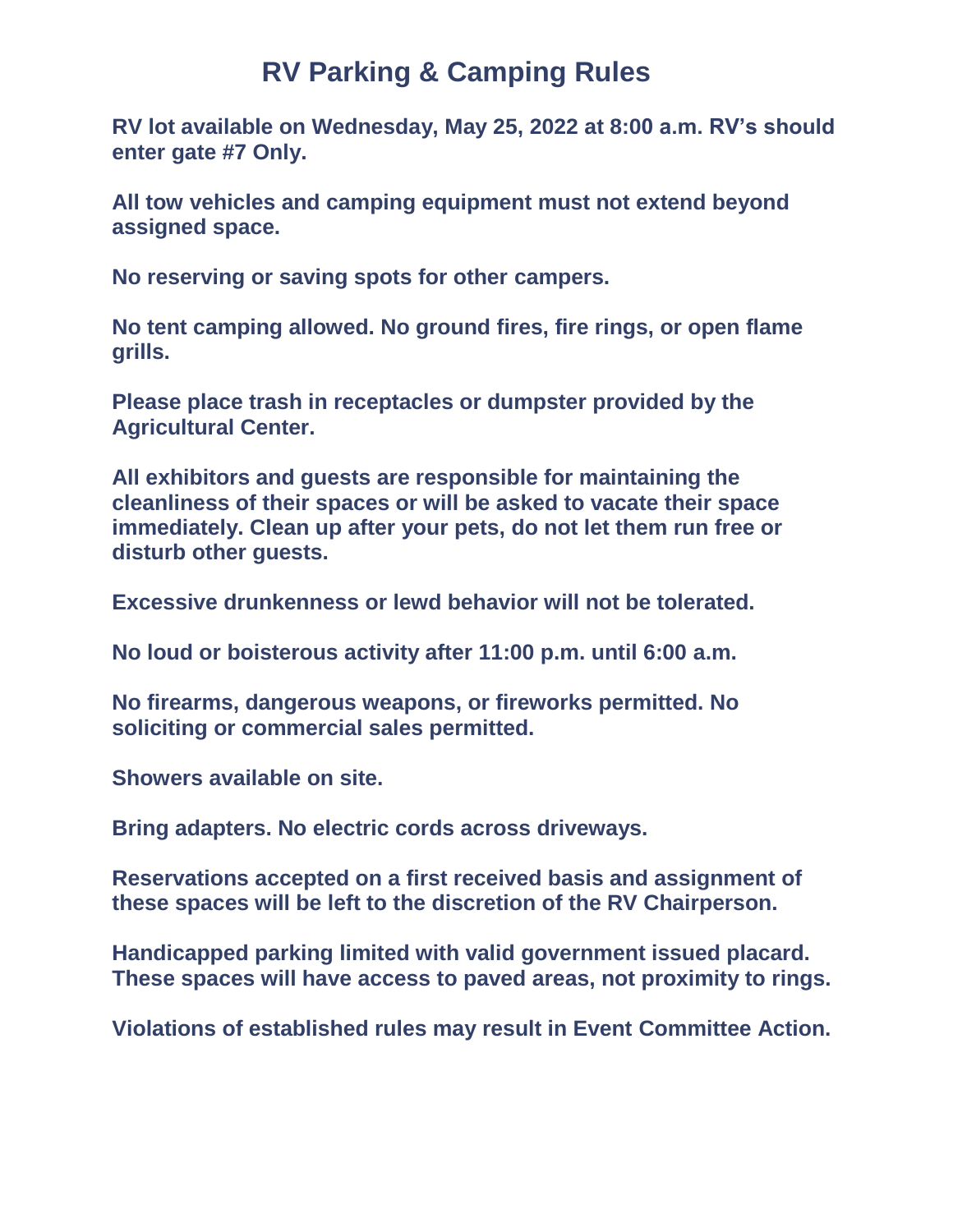## **RV Parking & Camping Rules**

**RV lot available on Wednesday, May 25, 2022 at 8:00 a.m. RV's should enter gate #7 Only.**

**All tow vehicles and camping equipment must not extend beyond assigned space.**

**No reserving or saving spots for other campers.**

**No tent camping allowed. No ground fires, fire rings, or open flame grills.**

**Please place trash in receptacles or dumpster provided by the Agricultural Center.**

**All exhibitors and guests are responsible for maintaining the cleanliness of their spaces or will be asked to vacate their space immediately. Clean up after your pets, do not let them run free or disturb other guests.**

**Excessive drunkenness or lewd behavior will not be tolerated.**

**No loud or boisterous activity after 11:00 p.m. until 6:00 a.m.**

**No firearms, dangerous weapons, or fireworks permitted. No soliciting or commercial sales permitted.**

**Showers available on site.**

**Bring adapters. No electric cords across driveways.**

**Reservations accepted on a first received basis and assignment of these spaces will be left to the discretion of the RV Chairperson.**

**Handicapped parking limited with valid government issued placard. These spaces will have access to paved areas, not proximity to rings.**

**Violations of established rules may result in Event Committee Action.**